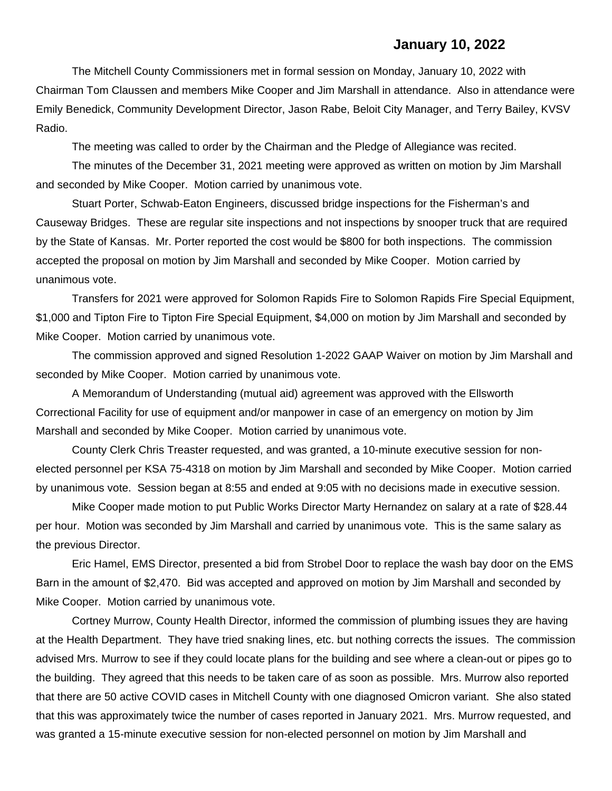## **January 10, 2022**

The Mitchell County Commissioners met in formal session on Monday, January 10, 2022 with Chairman Tom Claussen and members Mike Cooper and Jim Marshall in attendance. Also in attendance were Emily Benedick, Community Development Director, Jason Rabe, Beloit City Manager, and Terry Bailey, KVSV Radio.

The meeting was called to order by the Chairman and the Pledge of Allegiance was recited.

The minutes of the December 31, 2021 meeting were approved as written on motion by Jim Marshall and seconded by Mike Cooper. Motion carried by unanimous vote.

Stuart Porter, Schwab-Eaton Engineers, discussed bridge inspections for the Fisherman's and Causeway Bridges. These are regular site inspections and not inspections by snooper truck that are required by the State of Kansas. Mr. Porter reported the cost would be \$800 for both inspections. The commission accepted the proposal on motion by Jim Marshall and seconded by Mike Cooper. Motion carried by unanimous vote.

Transfers for 2021 were approved for Solomon Rapids Fire to Solomon Rapids Fire Special Equipment, \$1,000 and Tipton Fire to Tipton Fire Special Equipment, \$4,000 on motion by Jim Marshall and seconded by Mike Cooper. Motion carried by unanimous vote.

The commission approved and signed Resolution 1-2022 GAAP Waiver on motion by Jim Marshall and seconded by Mike Cooper. Motion carried by unanimous vote.

A Memorandum of Understanding (mutual aid) agreement was approved with the Ellsworth Correctional Facility for use of equipment and/or manpower in case of an emergency on motion by Jim Marshall and seconded by Mike Cooper. Motion carried by unanimous vote.

County Clerk Chris Treaster requested, and was granted, a 10-minute executive session for nonelected personnel per KSA 75-4318 on motion by Jim Marshall and seconded by Mike Cooper. Motion carried by unanimous vote. Session began at 8:55 and ended at 9:05 with no decisions made in executive session.

Mike Cooper made motion to put Public Works Director Marty Hernandez on salary at a rate of \$28.44 per hour. Motion was seconded by Jim Marshall and carried by unanimous vote. This is the same salary as the previous Director.

Eric Hamel, EMS Director, presented a bid from Strobel Door to replace the wash bay door on the EMS Barn in the amount of \$2,470. Bid was accepted and approved on motion by Jim Marshall and seconded by Mike Cooper. Motion carried by unanimous vote.

Cortney Murrow, County Health Director, informed the commission of plumbing issues they are having at the Health Department. They have tried snaking lines, etc. but nothing corrects the issues. The commission advised Mrs. Murrow to see if they could locate plans for the building and see where a clean-out or pipes go to the building. They agreed that this needs to be taken care of as soon as possible. Mrs. Murrow also reported that there are 50 active COVID cases in Mitchell County with one diagnosed Omicron variant. She also stated that this was approximately twice the number of cases reported in January 2021. Mrs. Murrow requested, and was granted a 15-minute executive session for non-elected personnel on motion by Jim Marshall and